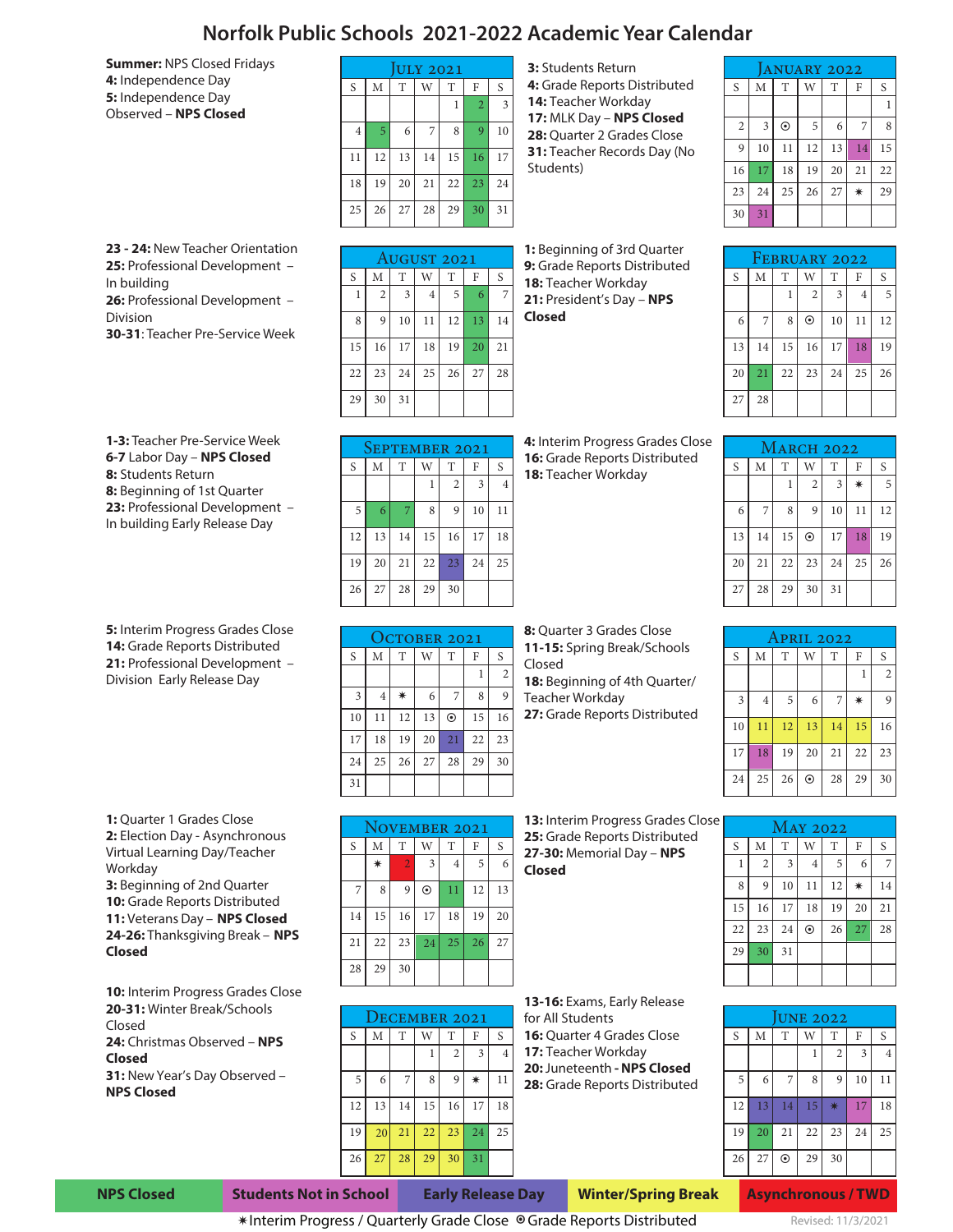## **Norfolk Public Schools 2021-2022 Academic Year Calendar**

**Summer:** NPS Closed Fridays **4:** Independence Day **5:** Independence Day Observed – **NPS Closed**

| <b>ULY 2021</b> |    |    |    |    |                |                |  |  |  |
|-----------------|----|----|----|----|----------------|----------------|--|--|--|
| S               | M  | T  | W  | T  | F              | S              |  |  |  |
|                 |    |    |    | 1  | $\overline{2}$ | $\overline{3}$ |  |  |  |
| $\overline{4}$  | 5  | 6  | 7  | 8  | $\mathbf{Q}$   | 10             |  |  |  |
| 11              | 12 | 13 | 14 | 15 | 16             | 17             |  |  |  |
| 18              | 19 | 20 | 21 | 22 | 23             | 24             |  |  |  |
| 25              | 26 | 27 | 28 | 29 | 30             | 31             |  |  |  |

**3:** Students Return **4:** Grade Reports Distributed **14:** Teacher Workday **17:** MLK Day – **NPS Closed** 28: Quarter 2 Grades Close **31: Teacher Records Day (No** Students)

| <b>ANUARY 2022</b> |                         |         |    |    |    |    |  |  |  |
|--------------------|-------------------------|---------|----|----|----|----|--|--|--|
| S                  | M                       | T       | W  | T  | F  | S  |  |  |  |
|                    |                         |         |    |    |    |    |  |  |  |
| $\overline{2}$     | $\overline{\mathbf{3}}$ | $\odot$ | 5  | 6  | 7  | 8  |  |  |  |
| 9                  | 10                      | 11      | 12 | 13 | 14 | 15 |  |  |  |
| 16                 | 17                      | 18      | 19 | 20 | 21 | 22 |  |  |  |
| 23                 | 24                      | 25      | 26 | 27 | ☀  | 29 |  |  |  |
| 30                 | 31                      |         |    |    |    |    |  |  |  |

**23 - 24:** New Teacher Orientation **25:** Professional Development – In building **26:** Professional Development – Division **30-31**: Teacher Pre-Service Week

**1-3:** Teacher Pre-Service Week **6-7** Labor Day – **NPS Closed 8:** Students Return **8:** Beginning of 1st Quarter **23:** Professional Development – In building Early Release Day

**5:** Interim Progress Grades Close **14:** Grade Reports Distributed **21:** Professional Development – Division Early Release Day

**1:** Quarter 1 Grades Close **2:** Election Day - Asynchronous Virtual Learning Day/Teacher Workday **3:** Beginning of 2nd Quarter 10: Grade Reports Distributed **11:** Veterans Day – **NPS Closed 24-26:** Thanksgiving Break – **NPS Closed**

**10:** Interim Progress Grades Close **20-31:** Winter Break/Schools Closed **24:** Christmas Observed – **NPS Closed 31:** New Year's Day Observed – **NPS Closed**

| AUGUST 2021 |                |    |                |    |    |    |  |  |  |
|-------------|----------------|----|----------------|----|----|----|--|--|--|
| S           | M              | T  | W              | T  | F  | S  |  |  |  |
| 1           | $\overline{2}$ | 3  | $\overline{4}$ | 5  | 6  | 7  |  |  |  |
| 8           | 9              | 10 | 11             | 12 | 13 | 14 |  |  |  |
| 15          | 16             | 17 | 18             | 19 | 20 | 21 |  |  |  |
| 22          | 23             | 24 | 25             | 26 | 27 | 28 |  |  |  |
| 29          | 30             | 31 |                |    |    |    |  |  |  |

**1:** Beginning of 3rd Quarter **9:** Grade Reports Distributed **18:** Teacher Workday **21:** President's Day – **NPS Closed**

**4:** Interim Progress Grades Close **16:** Grade Reports Distributed **18:** Teacher Workday

| FEBRUARY 2022 |    |    |                |    |                |    |  |  |  |
|---------------|----|----|----------------|----|----------------|----|--|--|--|
| $\mathbf S$   | M  | T  | W              | T  | F              | S  |  |  |  |
|               |    |    | $\overline{2}$ | 3  | $\overline{4}$ | 5  |  |  |  |
| 6             | 7  | 8  | $\odot$        | 10 | 11             | 12 |  |  |  |
| 13            | 14 | 15 | 16             | 17 | 18             | 19 |  |  |  |
| 20            | 21 | 22 | 23             | 24 | 25             | 26 |  |  |  |
| 27            | 28 |    |                |    |                |    |  |  |  |

| SEPTEMBER 2021 |    |    |    |                |    |                |  |  |  |
|----------------|----|----|----|----------------|----|----------------|--|--|--|
| S              | M  | T  | W  | T              | F  | S              |  |  |  |
|                |    |    | 1  | $\overline{2}$ | 3  | $\overline{4}$ |  |  |  |
| 5              | 6  | 7  | 8  | 9              | 10 | 11             |  |  |  |
| 12             | 13 | 14 | 15 | 16             | 17 | 18             |  |  |  |
| 19             | 20 | 21 | 22 | 23             | 24 | 25             |  |  |  |
| 26             | 27 | 28 | 29 | 30             |    |                |  |  |  |

| OCTOBER 2021   |                |    |    |         |    |                |  |  |  |
|----------------|----------------|----|----|---------|----|----------------|--|--|--|
| S              | M              | T  | W  | T       | F  | S              |  |  |  |
|                |                |    |    |         | 1  | $\overline{2}$ |  |  |  |
| $\overline{3}$ | $\overline{4}$ | ☀  | 6  | 7       | 8  | $\mathbf Q$    |  |  |  |
| 10             | 11             | 12 | 13 | $\odot$ | 15 | 16             |  |  |  |
| 17             | 18             | 19 | 20 | 21      | 22 | 23             |  |  |  |
| 24             | 25             | 26 | 27 | 28      | 29 | 30             |  |  |  |
| 31             |                |    |    |         |    |                |  |  |  |

**8:** Quarter 3 Grades Close **11-15:** Spring Break/Schools Closed **18:** Beginning of 4th Quarter/ Teacher Workday **27:** Grade Reports Distributed

|    | <b>MARCH 2022</b> |    |                |    |    |    |  |  |  |  |
|----|-------------------|----|----------------|----|----|----|--|--|--|--|
| S  | M                 | T  | W              | T  | F  | S  |  |  |  |  |
|    |                   | 1  | $\overline{2}$ | 3  | ∗  | 5  |  |  |  |  |
| 6  | 7                 | 8  | 9              | 10 | 11 | 12 |  |  |  |  |
| 13 | 14                | 15 | $\odot$        | 17 | 18 | 19 |  |  |  |  |
| 20 | 21                | 22 | 23             | 24 | 25 | 26 |  |  |  |  |
| 27 | 28                | 29 | 30             | 31 |    |    |  |  |  |  |

| APRIL 2022 |                |    |         |                |    |                |  |  |  |
|------------|----------------|----|---------|----------------|----|----------------|--|--|--|
| S          | M              | T  | W       | T              | F  | S              |  |  |  |
|            |                |    |         |                | 1  | $\overline{2}$ |  |  |  |
| 3          | $\overline{4}$ | 5  | 6       | $\overline{7}$ | ∗  | $\mathbf Q$    |  |  |  |
| 10         | 11             | 12 | 13      | 14             | 15 | 16             |  |  |  |
| 17         | 18             | 19 | 20      | 21             | 22 | 23             |  |  |  |
| 24         | 25             | 26 | $\odot$ | 28             | 29 | 30             |  |  |  |

|    | <b>NOVEMBER 2021</b> |                |         |                |    |    |  |  |  |
|----|----------------------|----------------|---------|----------------|----|----|--|--|--|
| S  | M                    | T              | W       | T              | F  | S  |  |  |  |
|    | ☀                    | $\overline{2}$ | 3       | $\overline{4}$ | 5  | 6  |  |  |  |
| 7  | 8                    | 9              | $\odot$ | 11             | 12 | 13 |  |  |  |
| 14 | 15                   | 16             | 17      | 18             | 19 | 20 |  |  |  |
| 21 | 22                   | 23             | 24      | 25             | 26 | 27 |  |  |  |
| 28 | 29                   | 30             |         |                |    |    |  |  |  |

| DECEMBER 2021 |    |    |    |                |    |                |  |  |
|---------------|----|----|----|----------------|----|----------------|--|--|
| S             | M  | T  | W  | T              | F  | S              |  |  |
|               |    |    | 1  | $\overline{2}$ | 3  | $\overline{4}$ |  |  |
| 5             | 6  | 7  | 8  | 9              | ∗  | 11             |  |  |
| 12            | 13 | 14 | 15 | 16             | 17 | 18             |  |  |
| 19            | 20 | 21 | 22 | 23             | 24 | 25             |  |  |
| 26            | 27 | 28 | 29 | 30             | 31 |                |  |  |

Interim Progress / Quarterly Grade Close ◉Grade Reports Distributed

**13:** Interim Progress Grades Close **25:** Grade Reports Distributed **27-30:** Memorial Day – **NPS Closed**

**13-16:** Exams, Early Release

**16:** Quarter 4 Grades Close **17:** Teacher Workday **20:** Juneteenth **- NPS Closed 28:** Grade Reports Distributed

for All Students

| e | MAY 2022 |                |    |                |    |    |    |  |  |  |
|---|----------|----------------|----|----------------|----|----|----|--|--|--|
|   | S        | M              | T  | W              | T  | F  | S  |  |  |  |
|   | 1        | $\overline{2}$ | 3  | $\overline{4}$ | 5  | 6  | 7  |  |  |  |
|   | 8        | 9              | 10 | 11             | 12 | ☀  | 14 |  |  |  |
|   | 15       | 16             | 17 | 18             | 19 | 20 | 21 |  |  |  |
|   | 22       | 23             | 24 | $\odot$        | 26 | 27 | 28 |  |  |  |
|   | 29       | 30             | 31 |                |    |    |    |  |  |  |
|   |          |                |    |                |    |    |    |  |  |  |

| <b>UNE 2022</b> |    |         |    |                |                         |                |  |  |  |  |
|-----------------|----|---------|----|----------------|-------------------------|----------------|--|--|--|--|
| S               | M  | T       | W  | T              | F                       | S              |  |  |  |  |
|                 |    |         | 1  | $\overline{2}$ | $\overline{\mathbf{3}}$ | $\overline{4}$ |  |  |  |  |
| 5               | 6  | 7       | 8  | 9              | 10                      | 11             |  |  |  |  |
| 12              | 13 | 14      | 15 | $\ast$         | 17                      | 18             |  |  |  |  |
| 19              | 20 | 21      | 22 | 23             | 24                      | 25             |  |  |  |  |
| 26              | 27 | $\odot$ | 29 | 30             |                         |                |  |  |  |  |
|                 |    |         |    |                |                         |                |  |  |  |  |

**NPS Closed Students Not in School Early Release Day Winter/Spring Break**

**Asynchronous / TWD** Revised: 11/3/2021